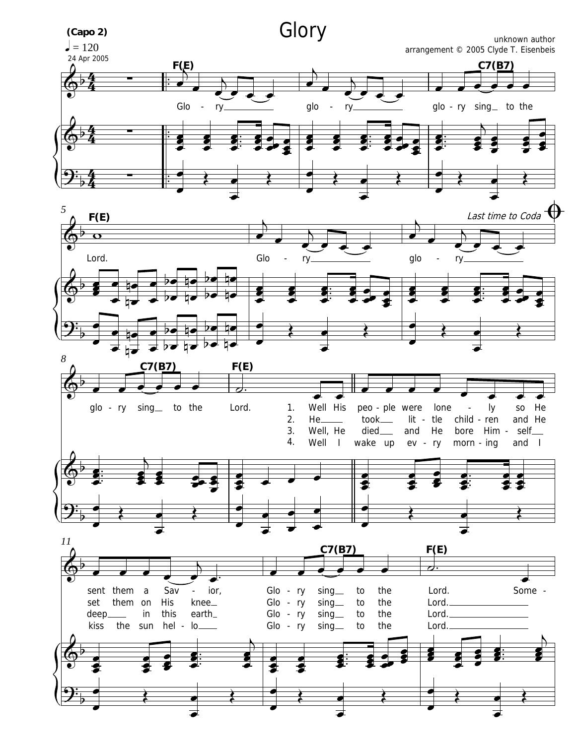